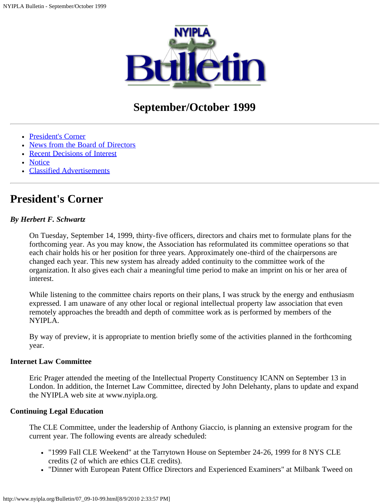

# **September/October 1999**

- [President's Corner](#page-0-0)
- [News from the Board of Directors](#page-1-0)
- [Recent Decisions of Interest](#page-4-0)
- [Notice](#page-7-0)
- [Classified Advertisements](#page-8-0)

## <span id="page-0-0"></span>**President's Corner**

#### *By Herbert F. Schwartz*

On Tuesday, September 14, 1999, thirty-five officers, directors and chairs met to formulate plans for the forthcoming year. As you may know, the Association has reformulated its committee operations so that each chair holds his or her position for three years. Approximately one-third of the chairpersons are changed each year. This new system has already added continuity to the committee work of the organization. It also gives each chair a meaningful time period to make an imprint on his or her area of interest.

While listening to the committee chairs reports on their plans, I was struck by the energy and enthusiasm expressed. I am unaware of any other local or regional intellectual property law association that even remotely approaches the breadth and depth of committee work as is performed by members of the NYIPLA.

By way of preview, it is appropriate to mention briefly some of the activities planned in the forthcoming year.

#### **Internet Law Committee**

Eric Prager attended the meeting of the Intellectual Property Constituency ICANN on September 13 in London. In addition, the Internet Law Committee, directed by John Delehanty, plans to update and expand the NYIPLA web site at www.nyipla.org.

#### **Continuing Legal Education**

The CLE Committee, under the leadership of Anthony Giaccio, is planning an extensive program for the current year. The following events are already scheduled:

- "1999 Fall CLE Weekend" at the Tarrytown House on September 24-26, 1999 for 8 NYS CLE credits (2 of which are ethics CLE credits).
- "Dinner with European Patent Office Directors and Experienced Examiners" at Milbank Tweed on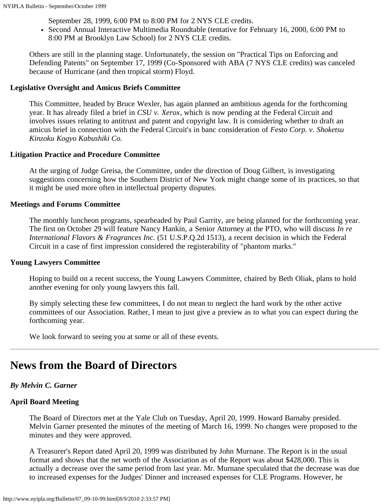September 28, 1999, 6:00 PM to 8:00 PM for 2 NYS CLE credits.

Second Annual Interactive Multimedia Roundtable (tentative for February 16, 2000, 6:00 PM to 8:00 PM at Brooklyn Law School) for 2 NYS CLE credits.

Others are still in the planning stage. Unfortunately, the session on "Practical Tips on Enforcing and Defending Patents" on September 17, 1999 (Co-Sponsored with ABA (7 NYS CLE credits) was canceled because of Hurricane (and then tropical storm) Floyd.

#### **Legislative Oversight and Amicus Briefs Committee**

This Committee, headed by Bruce Wexler, has again planned an ambitious agenda for the forthcoming year. It has already filed a brief in *CSU v. Xerox*, which is now pending at the Federal Circuit and involves issues relating to antitrust and patent and copyright law. It is considering whether to draft an amicus brief in connection with the Federal Circuit's in banc consideration of *Festo Corp. v. Shoketsu Kinzoku Kogyo Kabushiki Co.*

## **Litigation Practice and Procedure Committee**

At the urging of Judge Greisa, the Committee, under the direction of Doug Gilbert, is investigating suggestions concerning how the Southern District of New York might change some of its practices, so that it might be used more often in intellectual property disputes.

#### **Meetings and Forums Committee**

The monthly luncheon programs, spearheaded by Paul Garrity, are being planned for the forthcoming year. The first on October 29 will feature Nancy Hankin, a Senior Attorney at the PTO, who will discuss *In re International Flavors & Fragrances Inc.* (51 U.S.P.Q.2d 1513), a recent decision in which the Federal Circuit in a case of first impression considered the registerability of "phantom marks."

#### **Young Lawyers Committee**

Hoping to build on a recent success, the Young Lawyers Committee, chaired by Beth Oliak, plans to hold another evening for only young lawyers this fall.

By simply selecting these few committees, I do not mean to neglect the hard work by the other active committees of our Association. Rather, I mean to just give a preview as to what you can expect during the forthcoming year.

We look forward to seeing you at some or all of these events.

## <span id="page-1-0"></span>**News from the Board of Directors**

## *By Melvin C. Garner*

## **April Board Meeting**

The Board of Directors met at the Yale Club on Tuesday, April 20, 1999. Howard Barnaby presided. Melvin Garner presented the minutes of the meeting of March 16, 1999. No changes were proposed to the minutes and they were approved.

A Treasurer's Report dated April 20, 1999 was distributed by John Murnane. The Report is in the usual format and shows that the net worth of the Association as of the Report was about \$428,000. This is actually a decrease over the same period from last year. Mr. Murnane speculated that the decrease was due to increased expenses for the Judges' Dinner and increased expenses for CLE Programs. However, he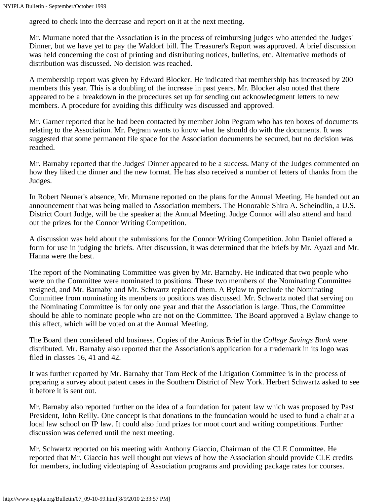agreed to check into the decrease and report on it at the next meeting.

Mr. Murnane noted that the Association is in the process of reimbursing judges who attended the Judges' Dinner, but we have yet to pay the Waldorf bill. The Treasurer's Report was approved. A brief discussion was held concerning the cost of printing and distributing notices, bulletins, etc. Alternative methods of distribution was discussed. No decision was reached.

A membership report was given by Edward Blocker. He indicated that membership has increased by 200 members this year. This is a doubling of the increase in past years. Mr. Blocker also noted that there appeared to be a breakdown in the procedures set up for sending out acknowledgment letters to new members. A procedure for avoiding this difficulty was discussed and approved.

Mr. Garner reported that he had been contacted by member John Pegram who has ten boxes of documents relating to the Association. Mr. Pegram wants to know what he should do with the documents. It was suggested that some permanent file space for the Association documents be secured, but no decision was reached.

Mr. Barnaby reported that the Judges' Dinner appeared to be a success. Many of the Judges commented on how they liked the dinner and the new format. He has also received a number of letters of thanks from the Judges.

In Robert Neuner's absence, Mr. Murnane reported on the plans for the Annual Meeting. He handed out an announcement that was being mailed to Association members. The Honorable Shira A. Scheindlin, a U.S. District Court Judge, will be the speaker at the Annual Meeting. Judge Connor will also attend and hand out the prizes for the Connor Writing Competition.

A discussion was held about the submissions for the Connor Writing Competition. John Daniel offered a form for use in judging the briefs. After discussion, it was determined that the briefs by Mr. Ayazi and Mr. Hanna were the best.

The report of the Nominating Committee was given by Mr. Barnaby. He indicated that two people who were on the Committee were nominated to positions. These two members of the Nominating Committee resigned, and Mr. Barnaby and Mr. Schwartz replaced them. A Bylaw to preclude the Nominating Committee from nominating its members to positions was discussed. Mr. Schwartz noted that serving on the Nominating Committee is for only one year and that the Association is large. Thus, the Committee should be able to nominate people who are not on the Committee. The Board approved a Bylaw change to this affect, which will be voted on at the Annual Meeting.

The Board then considered old business. Copies of the Amicus Brief in the *College Savings Bank* were distributed. Mr. Barnaby also reported that the Association's application for a trademark in its logo was filed in classes 16, 41 and 42.

It was further reported by Mr. Barnaby that Tom Beck of the Litigation Committee is in the process of preparing a survey about patent cases in the Southern District of New York. Herbert Schwartz asked to see it before it is sent out.

Mr. Barnaby also reported further on the idea of a foundation for patent law which was proposed by Past President, John Reilly. One concept is that donations to the foundation would be used to fund a chair at a local law school on IP law. It could also fund prizes for moot court and writing competitions. Further discussion was deferred until the next meeting.

Mr. Schwartz reported on his meeting with Anthony Giaccio, Chairman of the CLE Committee. He reported that Mr. Giaccio has well thought out views of how the Association should provide CLE credits for members, including videotaping of Association programs and providing package rates for courses.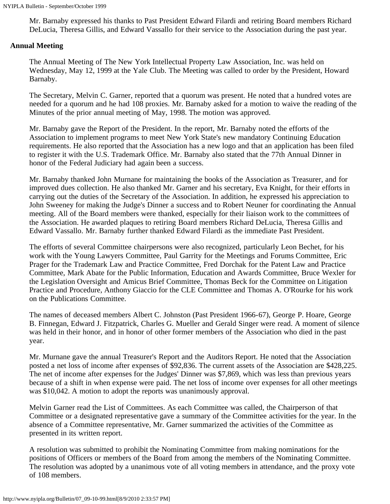Mr. Barnaby expressed his thanks to Past President Edward Filardi and retiring Board members Richard DeLucia, Theresa Gillis, and Edward Vassallo for their service to the Association during the past year.

#### **Annual Meeting**

The Annual Meeting of The New York Intellectual Property Law Association, Inc. was held on Wednesday, May 12, 1999 at the Yale Club. The Meeting was called to order by the President, Howard Barnaby.

The Secretary, Melvin C. Garner, reported that a quorum was present. He noted that a hundred votes are needed for a quorum and he had 108 proxies. Mr. Barnaby asked for a motion to waive the reading of the Minutes of the prior annual meeting of May, 1998. The motion was approved.

Mr. Barnaby gave the Report of the President. In the report, Mr. Barnaby noted the efforts of the Association to implement programs to meet New York State's new mandatory Continuing Education requirements. He also reported that the Association has a new logo and that an application has been filed to register it with the U.S. Trademark Office. Mr. Barnaby also stated that the 77th Annual Dinner in honor of the Federal Judiciary had again been a success.

Mr. Barnaby thanked John Murnane for maintaining the books of the Association as Treasurer, and for improved dues collection. He also thanked Mr. Garner and his secretary, Eva Knight, for their efforts in carrying out the duties of the Secretary of the Association. In addition, he expressed his appreciation to John Sweeney for making the Judge's Dinner a success and to Robert Neuner for coordinating the Annual meeting. All of the Board members were thanked, especially for their liaison work to the committees of the Association. He awarded plaques to retiring Board members Richard DeLucia, Theresa Gillis and Edward Vassallo. Mr. Barnaby further thanked Edward Filardi as the immediate Past President.

The efforts of several Committee chairpersons were also recognized, particularly Leon Bechet, for his work with the Young Lawyers Committee, Paul Garrity for the Meetings and Forums Committee, Eric Prager for the Trademark Law and Practice Committee, Fred Dorchak for the Patent Law and Practice Committee, Mark Abate for the Public Information, Education and Awards Committee, Bruce Wexler for the Legislation Oversight and Amicus Brief Committee, Thomas Beck for the Committee on Litigation Practice and Procedure, Anthony Giaccio for the CLE Committee and Thomas A. O'Rourke for his work on the Publications Committee.

The names of deceased members Albert C. Johnston (Past President 1966-67), George P. Hoare, George B. Finnegan, Edward J. Fitzpatrick, Charles G. Mueller and Gerald Singer were read. A moment of silence was held in their honor, and in honor of other former members of the Association who died in the past year.

Mr. Murnane gave the annual Treasurer's Report and the Auditors Report. He noted that the Association posted a net loss of income after expenses of \$92,836. The current assets of the Association are \$428,225. The net of income after expenses for the Judges' Dinner was \$7,869, which was less than previous years because of a shift in when expense were paid. The net loss of income over expenses for all other meetings was \$10,042. A motion to adopt the reports was unanimously approval.

Melvin Garner read the List of Committees. As each Committee was called, the Chairperson of that Committee or a designated representative gave a summary of the Committee activities for the year. In the absence of a Committee representative, Mr. Garner summarized the activities of the Committee as presented in its written report.

A resolution was submitted to prohibit the Nominating Committee from making nominations for the positions of Officers or members of the Board from among the members of the Nominating Committee. The resolution was adopted by a unanimous vote of all voting members in attendance, and the proxy vote of 108 members.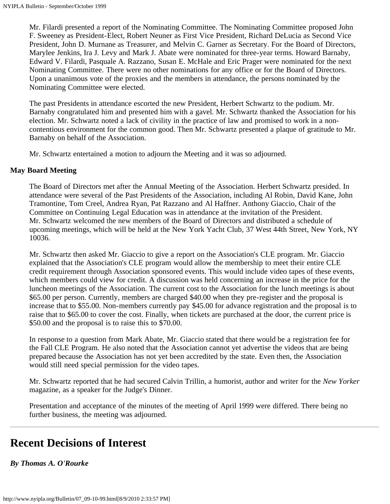Mr. Filardi presented a report of the Nominating Committee. The Nominating Committee proposed John F. Sweeney as President-Elect, Robert Neuner as First Vice President, Richard DeLucia as Second Vice President, John D. Murnane as Treasurer, and Melvin C. Garner as Secretary. For the Board of Directors, Marylee Jenkins, Ira J. Levy and Mark J. Abate were nominated for three-year terms. Howard Barnaby, Edward V. Filardi, Pasquale A. Razzano, Susan E. McHale and Eric Prager were nominated for the next Nominating Committee. There were no other nominations for any office or for the Board of Directors. Upon a unanimous vote of the proxies and the members in attendance, the persons nominated by the Nominating Committee were elected.

The past Presidents in attendance escorted the new President, Herbert Schwartz to the podium. Mr. Barnaby congratulated him and presented him with a gavel. Mr. Schwartz thanked the Association for his election. Mr. Schwartz noted a lack of civility in the practice of law and promised to work in a noncontentious environment for the common good. Then Mr. Schwartz presented a plaque of gratitude to Mr. Barnaby on behalf of the Association.

Mr. Schwartz entertained a motion to adjourn the Meeting and it was so adjourned.

## **May Board Meeting**

The Board of Directors met after the Annual Meeting of the Association. Herbert Schwartz presided. In attendance were several of the Past Presidents of the Association, including Al Robin, David Kane, John Tramontine, Tom Creel, Andrea Ryan, Pat Razzano and Al Haffner. Anthony Giaccio, Chair of the Committee on Continuing Legal Education was in attendance at the invitation of the President. Mr. Schwartz welcomed the new members of the Board of Directors and distributed a schedule of upcoming meetings, which will be held at the New York Yacht Club, 37 West 44th Street, New York, NY 10036.

Mr. Schwartz then asked Mr. Giaccio to give a report on the Association's CLE program. Mr. Giaccio explained that the Association's CLE program would allow the membership to meet their entire CLE credit requirement through Association sponsored events. This would include video tapes of these events, which members could view for credit. A discussion was held concerning an increase in the price for the luncheon meetings of the Association. The current cost to the Association for the lunch meetings is about \$65.00 per person. Currently, members are charged \$40.00 when they pre-register and the proposal is increase that to \$55.00. Non-members currently pay \$45.00 for advance registration and the proposal is to raise that to \$65.00 to cover the cost. Finally, when tickets are purchased at the door, the current price is \$50.00 and the proposal is to raise this to \$70.00.

In response to a question from Mark Abate, Mr. Giaccio stated that there would be a registration fee for the Fall CLE Program. He also noted that the Association cannot yet advertise the videos that are being prepared because the Association has not yet been accredited by the state. Even then, the Association would still need special permission for the video tapes.

Mr. Schwartz reported that he had secured Calvin Trillin, a humorist, author and writer for the *New Yorker* magazine, as a speaker for the Judge's Dinner.

Presentation and acceptance of the minutes of the meeting of April 1999 were differed. There being no further business, the meeting was adjourned.

## <span id="page-4-0"></span>**Recent Decisions of Interest**

*By Thomas A. O'Rourke*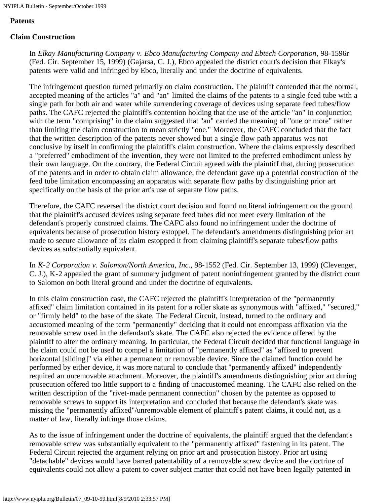#### **Patents**

#### **Claim Construction**

In *Elkay Manufacturing Company v. Ebco Manufacturing Company and Ebtech Corporation*, 98-1596r (Fed. Cir. September 15, 1999) (Gajarsa, C. J.), Ebco appealed the district court's decision that Elkay's patents were valid and infringed by Ebco, literally and under the doctrine of equivalents.

The infringement question turned primarily on claim construction. The plaintiff contended that the normal, accepted meaning of the articles "a" and "an" limited the claims of the patents to a single feed tube with a single path for both air and water while surrendering coverage of devices using separate feed tubes/flow paths. The CAFC rejected the plaintiff's contention holding that the use of the article "an" in conjunction with the term "comprising" in the claim suggested that "an" carried the meaning of "one or more" rather than limiting the claim construction to mean strictly "one." Moreover, the CAFC concluded that the fact that the written description of the patents never showed but a single flow path apparatus was not conclusive by itself in confirming the plaintiff's claim construction. Where the claims expressly described a "preferred" embodiment of the invention, they were not limited to the preferred embodiment unless by their own language. On the contrary, the Federal Circuit agreed with the plaintiff that, during prosecution of the patents and in order to obtain claim allowance, the defendant gave up a potential construction of the feed tube limitation encompassing an apparatus with separate flow paths by distinguishing prior art specifically on the basis of the prior art's use of separate flow paths.

Therefore, the CAFC reversed the district court decision and found no literal infringement on the ground that the plaintiff's accused devices using separate feed tubes did not meet every limitation of the defendant's properly construed claims. The CAFC also found no infringement under the doctrine of equivalents because of prosecution history estoppel. The defendant's amendments distinguishing prior art made to secure allowance of its claim estopped it from claiming plaintiff's separate tubes/flow paths devices as substantially equivalent.

In *K-2 Corporation v. Salomon/North America, Inc.,* 98-1552 (Fed. Cir. September 13, 1999) (Clevenger, C. J.), K-2 appealed the grant of summary judgment of patent noninfringement granted by the district court to Salomon on both literal ground and under the doctrine of equivalents.

In this claim construction case, the CAFC rejected the plaintiff's interpretation of the "permanently affixed" claim limitation contained in its patent for a roller skate as synonymous with "affixed," "secured," or "firmly held" to the base of the skate. The Federal Circuit, instead, turned to the ordinary and accustomed meaning of the term "permanently" deciding that it could not encompass affixation via the removable screw used in the defendant's skate. The CAFC also rejected the evidence offered by the plaintiff to alter the ordinary meaning. In particular, the Federal Circuit decided that functional language in the claim could not be used to compel a limitation of "permanently affixed" as "affixed to prevent horizontal [sliding]" via either a permanent or removable device. Since the claimed function could be performed by either device, it was more natural to conclude that "permanently affixed" independently required an unremovable attachment. Moreover, the plaintiff's amendments distinguishing prior art during prosecution offered too little support to a finding of unaccustomed meaning. The CAFC also relied on the written description of the "rivet-made permanent connection" chosen by the patentee as opposed to removable screws to support its interpretation and concluded that because the defendant's skate was missing the "permanently affixed"/unremovable element of plaintiff's patent claims, it could not, as a matter of law, literally infringe those claims.

As to the issue of infringement under the doctrine of equivalents, the plaintiff argued that the defendant's removable screw was substantially equivalent to the "permanently affixed" fastening in its patent. The Federal Circuit rejected the argument relying on prior art and prosecution history. Prior art using "detachable" devices would have barred patentability of a removable screw device and the doctrine of equivalents could not allow a patent to cover subject matter that could not have been legally patented in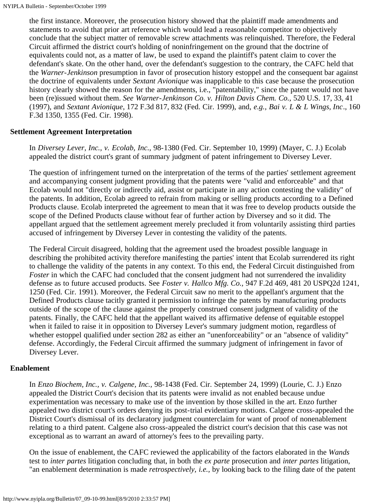the first instance. Moreover, the prosecution history showed that the plaintiff made amendments and statements to avoid that prior art reference which would lead a reasonable competitor to objectively conclude that the subject matter of removable screw attachments was relinquished. Therefore, the Federal Circuit affirmed the district court's holding of noninfringement on the ground that the doctrine of equivalents could not, as a matter of law, be used to expand the plaintiff's patent claim to cover the defendant's skate. On the other hand, over the defendant's suggestion to the contrary, the CAFC held that the *Warner-Jenkinson* presumption in favor of prosecution history estoppel and the consequent bar against the doctrine of equivalents under *Sextant Avionique* was inapplicable to this case because the prosecution history clearly showed the reason for the amendments, i.e., "patentability," since the patent would not have been (re)issued without them. *See Warner-Jenkinson Co. v. Hilton Davis Chem. Co.,* 520 U.S. 17, 33, 41 (1997), and *Sextant Avionique*, 172 F.3d 817, 832 (Fed. Cir. 1999), and, *e.g., Bai v. L & L Wings, Inc*., 160 F.3d 1350, 1355 (Fed. Cir. 1998).

#### **Settlement Agreement Interpretation**

In *Diversey Lever, Inc., v. Ecolab, Inc.,* 98-1380 (Fed. Cir. September 10, 1999) (Mayer, C. J.) Ecolab appealed the district court's grant of summary judgment of patent infringement to Diversey Lever.

The question of infringement turned on the interpretation of the terms of the parties' settlement agreement and accompanying consent judgment providing that the patents were "valid and enforceable" and that Ecolab would not "directly or indirectly aid, assist or participate in any action contesting the validity" of the patents. In addition, Ecolab agreed to refrain from making or selling products according to a Defined Products clause. Ecolab interpreted the agreement to mean that it was free to develop products outside the scope of the Defined Products clause without fear of further action by Diversey and so it did. The appellant argued that the settlement agreement merely precluded it from voluntarily assisting third parties accused of infringement by Diversey Lever in contesting the validity of the patents.

The Federal Circuit disagreed, holding that the agreement used the broadest possible language in describing the prohibited activity therefore manifesting the parties' intent that Ecolab surrendered its right to challenge the validity of the patents in any context. To this end, the Federal Circuit distinguished from *Foster* in which the CAFC had concluded that the consent judgment had not surrendered the invalidity defense as to future accused products. See *Foster v. Hallco Mfg. Co.,* 947 F.2d 469, 481 20 USPQ2d 1241, 1250 (Fed. Cir. 1991). Moreover, the Federal Circuit saw no merit to the appellant's argument that the Defined Products clause tacitly granted it permission to infringe the patents by manufacturing products outside of the scope of the clause against the properly construed consent judgment of validity of the patents. Finally, the CAFC held that the appellant waived its affirmative defense of equitable estoppel when it failed to raise it in opposition to Diversey Lever's summary judgment motion, regardless of whether estoppel qualified under section 282 as either an "unenforceability" or an "absence of validity" defense. Accordingly, the Federal Circuit affirmed the summary judgment of infringement in favor of Diversey Lever.

#### **Enablement**

In *Enzo Biochem, Inc., v. Calgene, Inc.,* 98-1438 (Fed. Cir. September 24, 1999) (Lourie, C. J.) Enzo appealed the District Court's decision that its patents were invalid as not enabled because undue experimentation was necessary to make use of the invention by those skilled in the art. Enzo further appealed two district court's orders denying its post-trial evidentiary motions. Calgene cross-appealed the District Court's dismissal of its declaratory judgment counterclaim for want of proof of nonenablement relating to a third patent. Calgene also cross-appealed the district court's decision that this case was not exceptional as to warrant an award of attorney's fees to the prevailing party.

On the issue of enablement, the CAFC reviewed the applicability of the factors elaborated in the *Wands* test to *inter partes* litigation concluding that, in both the *ex parte* prosecution and *inter partes* litigation, "an enablement determination is made *retrospectively, i.e.,* by looking back to the filing date of the patent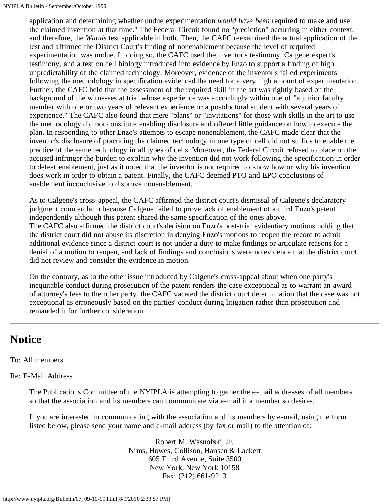application and determining whether undue experimentation *would have been* required to make and use the claimed invention at that time." The Federal Circuit found no "prediction" occurring in either context, and therefore, the *Wands* test applicable in both. Then, the CAFC reexamined the actual application of the test and affirmed the District Court's finding of nonenablement because the level of required experimentation was undue. In doing so, the CAFC used the inventor's testimony, Calgene expert's testimony, and a test on cell biology introduced into evidence by Enzo to support a finding of high unpredictability of the claimed technology. Moreover, evidence of the inventor's failed experiments following the methodology in specification evidenced the need for a very high amount of experimentation. Further, the CAFC held that the assessment of the required skill in the art was rightly based on the background of the witnesses at trial whose experience was accordingly within one of "a junior faculty member with one or two years of relevant experience or a postdoctoral student with several years of experience." The CAFC also found that mere "plans" or "invitations" for those with skills in the art to use the methodology did not constitute enabling disclosure and offered little guidance on how to execute the plan. In responding to other Enzo's attempts to escape nonenablement, the CAFC made clear that the inventor's disclosure of practicing the claimed technology in one type of cell did not suffice to enable the practice of the same technology in all types of cells. Moreover, the Federal Circuit refused to place on the accused infringer the burden to explain why the invention did not work following the specification in order to defeat enablement, just as it noted that the inventor is not required to know how or why his invention does work in order to obtain a patent. Finally, the CAFC deemed PTO and EPO conclusions of enablement inconclusive to disprove nonenablement.

As to Calgene's cross-appeal, the CAFC affirmed the district court's dismissal of Calgene's declaratory judgment counterclaim because Calgene failed to prove lack of enablement of a third Enzo's patent independently although this patent shared the same specification of the ones above. The CAFC also affirmed the district court's decision on Enzo's post-trial evidentiary motions holding that the district court did not abuse its discretion in denying Enzo's motions to reopen the record to admit additional evidence since a district court is not under a duty to make findings or articulate reasons for a denial of a motion to reopen, and lack of findings and conclusions were no evidence that the district court did not review and consider the evidence in motion.

On the contrary, as to the other issue introduced by Calgene's cross-appeal about when one party's inequitable conduct during prosecution of the patent renders the case exceptional as to warrant an award of attorney's fees to the other party, the CAFC vacated the district court determination that the case was not exceptional as erroneously based on the parties' conduct during litigation rather than prosecution and remanded it for further consideration.

## <span id="page-7-0"></span>**Notice**

## To: All members

## Re: E-Mail Address

The Publications Committee of the NYIPLA is attempting to gather the e-mail addresses of all members so that the association and its members can communicate via e-mail if a member so desires.

If you are interested in communicating with the association and its members by e-mail, using the form listed below, please send your name and e-mail address (by fax or mail) to the attention of:

> Robert M. Wasnofski, Jr. Nims, Howes, Collison, Hansen & Lackert 605 Third Avenue, Suite 3500 New York, New York 10158 Fax: (212) 661-9213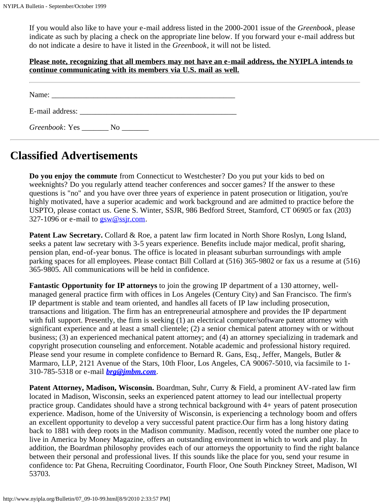If you would also like to have your e-mail address listed in the 2000-2001 issue of the *Greenbook*, please indicate as such by placing a check on the appropriate line below. If you forward your e-mail address but do not indicate a desire to have it listed in the *Greenbook*, it will not be listed.

## **Please note, recognizing that all members may not have an e-mail address, the NYIPLA intends to continue communicating with its members via U.S. mail as well.**

| Name:                  |    |  |  |
|------------------------|----|--|--|
|                        |    |  |  |
| <i>Greenbook</i> : Yes | No |  |  |

# <span id="page-8-0"></span>**Classified Advertisements**

**Do you enjoy the commute** from Connecticut to Westchester? Do you put your kids to bed on weeknights? Do you regularly attend teacher conferences and soccer games? If the answer to these questions is "no" and you have over three years of experience in patent prosecution or litigation, you're highly motivated, have a superior academic and work background and are admitted to practice before the USPTO, please contact us. Gene S. Winter, SSJR, 986 Bedford Street, Stamford, CT 06905 or fax (203) 327-1096 or e-mail to [gsw@ssjr.com](mailto:gsw@ssjr.com).

**Patent Law Secretary.** Collard & Roe, a patent law firm located in North Shore Roslyn, Long Island, seeks a patent law secretary with 3-5 years experience. Benefits include major medical, profit sharing, pension plan, end-of-year bonus. The office is located in pleasant suburban surroundings with ample parking spaces for all employees. Please contact Bill Collard at (516) 365-9802 or fax us a resume at (516) 365-9805. All communications will be held in confidence.

**Fantastic Opportunity for IP attorneys** to join the growing IP department of a 130 attorney, wellmanaged general practice firm with offices in Los Angeles (Century City) and San Francisco. The firm's IP department is stable and team oriented, and handles all facets of IP law including prosecution, transactions and litigation. The firm has an entrepreneurial atmosphere and provides the IP department with full support. Presently, the firm is seeking (1) an electrical computer/software patent attorney with significant experience and at least a small clientele; (2) a senior chemical patent attorney with or without business; (3) an experienced mechanical patent attorney; and (4) an attorney specializing in trademark and copyright prosecution counseling and enforcement. Notable academic and professional history required. Please send your resume in complete confidence to Bernard R. Gans, Esq., Jeffer, Mangels, Butler & Marmaro, LLP, 2121 Avenue of the Stars, 10th Floor, Los Angeles, CA 90067-5010, via facsimile to 1- 310-785-5318 or e-mail *[brg@jmbm.com](mailto:brg@jmbm.com)*.

**Patent Attorney, Madison, Wisconsin.** Boardman, Suhr, Curry & Field, a prominent AV-rated law firm located in Madison, Wisconsin, seeks an experienced patent attorney to lead our intellectual property practice group. Candidates should have a strong technical background with 4+ years of patent prosecution experience. Madison, home of the University of Wisconsin, is experiencing a technology boom and offers an excellent opportunity to develop a very successful patent practice.Our firm has a long history dating back to 1881 with deep roots in the Madison community. Madison, recently voted the number one place to live in America by Money Magazine, offers an outstanding environment in which to work and play. In addition, the Boardman philosophy provides each of our attorneys the opportunity to find the right balance between their personal and professional lives. If this sounds like the place for you, send your resume in confidence to: Pat Ghena, Recruiting Coordinator, Fourth Floor, One South Pinckney Street, Madison, WI 53703.